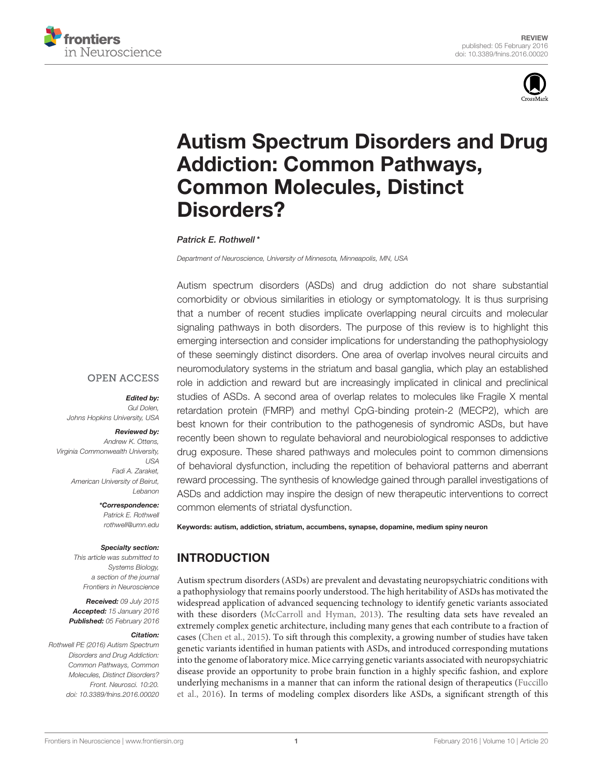



# [Autism Spectrum Disorders and Drug](http://journal.frontiersin.org/article/10.3389/fnins.2016.00020/abstract) Addiction: Common Pathways, Common Molecules, Distinct Disorders?

#### [Patrick E. Rothwell](http://loop.frontiersin.org/people/218204/overview)\*

*Department of Neuroscience, University of Minnesota, Minneapolis, MN, USA*

Autism spectrum disorders (ASDs) and drug addiction do not share substantial comorbidity or obvious similarities in etiology or symptomatology. It is thus surprising that a number of recent studies implicate overlapping neural circuits and molecular signaling pathways in both disorders. The purpose of this review is to highlight this emerging intersection and consider implications for understanding the pathophysiology of these seemingly distinct disorders. One area of overlap involves neural circuits and neuromodulatory systems in the striatum and basal ganglia, which play an established role in addiction and reward but are increasingly implicated in clinical and preclinical studies of ASDs. A second area of overlap relates to molecules like Fragile X mental retardation protein (FMRP) and methyl CpG-binding protein-2 (MECP2), which are best known for their contribution to the pathogenesis of syndromic ASDs, but have recently been shown to regulate behavioral and neurobiological responses to addictive drug exposure. These shared pathways and molecules point to common dimensions of behavioral dysfunction, including the repetition of behavioral patterns and aberrant reward processing. The synthesis of knowledge gained through parallel investigations of ASDs and addiction may inspire the design of new therapeutic interventions to correct common elements of striatal dysfunction.

Keywords: autism, addiction, striatum, accumbens, synapse, dopamine, medium spiny neuron

# INTRODUCTION

Autism spectrum disorders (ASDs) are prevalent and devastating neuropsychiatric conditions with a pathophysiology that remains poorly understood. The high heritability of ASDs has motivated the widespread application of advanced sequencing technology to identify genetic variants associated with these disorders [\(McCarroll and Hyman, 2013\)](#page-9-0). The resulting data sets have revealed an extremely complex genetic architecture, including many genes that each contribute to a fraction of cases [\(Chen et al., 2015\)](#page-8-0). To sift through this complexity, a growing number of studies have taken genetic variants identified in human patients with ASDs, and introduced corresponding mutations into the genome of laboratory mice. Mice carrying genetic variants associated with neuropsychiatric disease provide an opportunity to probe brain function in a highly specific fashion, and explore underlying mechanisms in a manner that can inform the rational design of therapeutics (Fuccillo et al., [2016\)](#page-8-1). In terms of modeling complex disorders like ASDs, a significant strength of this

**OPEN ACCESS** 

#### Edited by:

*Gul Dolen, Johns Hopkins University, USA*

#### Reviewed by:

*Andrew K. Ottens, Virginia Commonwealth University, USA Fadi A. Zaraket, American University of Beirut, Lebanon*

> \*Correspondence: *Patrick E. Rothwell [rothwell@umn.edu](mailto:rothwell@umn.edu)*

#### Specialty section:

*This article was submitted to Systems Biology, a section of the journal Frontiers in Neuroscience*

Received: *09 July 2015* Accepted: *15 January 2016* Published: *05 February 2016*

#### Citation:

*Rothwell PE (2016) Autism Spectrum Disorders and Drug Addiction: Common Pathways, Common Molecules, Distinct Disorders? Front. Neurosci. 10:20. doi: [10.3389/fnins.2016.00020](http://dx.doi.org/10.3389/fnins.2016.00020)*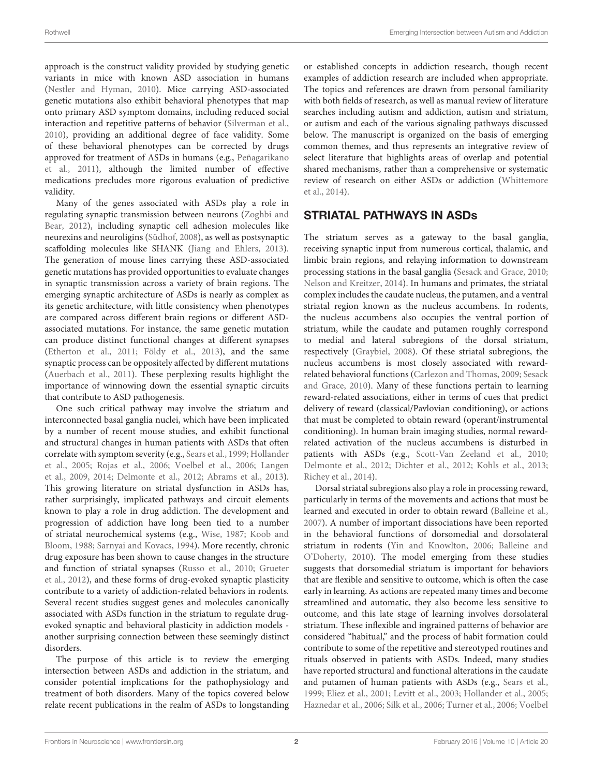approach is the construct validity provided by studying genetic variants in mice with known ASD association in humans [\(Nestler and Hyman, 2010\)](#page-9-1). Mice carrying ASD-associated genetic mutations also exhibit behavioral phenotypes that map onto primary ASD symptom domains, including reduced social interaction and repetitive patterns of behavior [\(Silverman et al.,](#page-10-0) [2010\)](#page-10-0), providing an additional degree of face validity. Some of these behavioral phenotypes can be corrected by drugs approved for treatment of ASDs in humans (e.g., Peñagarikano et al., [2011\)](#page-10-1), although the limited number of effective medications precludes more rigorous evaluation of predictive validity.

Many of the genes associated with ASDs play a role in regulating synaptic transmission between neurons (Zoghbi and Bear, [2012\)](#page-11-0), including synaptic cell adhesion molecules like neurexins and neuroligins [\(Südhof, 2008\)](#page-10-2), as well as postsynaptic scaffolding molecules like SHANK [\(Jiang and Ehlers, 2013\)](#page-9-2). The generation of mouse lines carrying these ASD-associated genetic mutations has provided opportunities to evaluate changes in synaptic transmission across a variety of brain regions. The emerging synaptic architecture of ASDs is nearly as complex as its genetic architecture, with little consistency when phenotypes are compared across different brain regions or different ASDassociated mutations. For instance, the same genetic mutation can produce distinct functional changes at different synapses [\(Etherton et al., 2011;](#page-8-2) [Földy et al., 2013\)](#page-8-3), and the same synaptic process can be oppositely affected by different mutations [\(Auerbach et al., 2011\)](#page-7-0). These perplexing results highlight the importance of winnowing down the essential synaptic circuits that contribute to ASD pathogenesis.

One such critical pathway may involve the striatum and interconnected basal ganglia nuclei, which have been implicated by a number of recent mouse studies, and exhibit functional and structural changes in human patients with ASDs that often correlate with symptom severity (e.g., [Sears et al., 1999;](#page-10-3) Hollander et al., [2005;](#page-9-3) [Rojas et al., 2006;](#page-10-4) [Voelbel et al., 2006;](#page-11-1) Langen et al., [2009,](#page-9-4) [2014;](#page-9-5) [Delmonte et al., 2012;](#page-8-4) [Abrams et al., 2013\)](#page-7-1). This growing literature on striatal dysfunction in ASDs has, rather surprisingly, implicated pathways and circuit elements known to play a role in drug addiction. The development and progression of addiction have long been tied to a number of striatal neurochemical systems (e.g., [Wise, 1987;](#page-11-2) Koob and Bloom, [1988;](#page-9-6) [Sarnyai and Kovacs, 1994\)](#page-10-5). More recently, chronic drug exposure has been shown to cause changes in the structure and function of striatal synapses [\(Russo et al., 2010;](#page-10-6) Grueter et al., [2012\)](#page-9-7), and these forms of drug-evoked synaptic plasticity contribute to a variety of addiction-related behaviors in rodents. Several recent studies suggest genes and molecules canonically associated with ASDs function in the striatum to regulate drugevoked synaptic and behavioral plasticity in addiction models another surprising connection between these seemingly distinct disorders.

The purpose of this article is to review the emerging intersection between ASDs and addiction in the striatum, and consider potential implications for the pathophysiology and treatment of both disorders. Many of the topics covered below relate recent publications in the realm of ASDs to longstanding or established concepts in addiction research, though recent examples of addiction research are included when appropriate. The topics and references are drawn from personal familiarity with both fields of research, as well as manual review of literature searches including autism and addiction, autism and striatum, or autism and each of the various signaling pathways discussed below. The manuscript is organized on the basis of emerging common themes, and thus represents an integrative review of select literature that highlights areas of overlap and potential shared mechanisms, rather than a comprehensive or systematic review of research on either ASDs or addiction (Whittemore et al., [2014\)](#page-11-3).

# STRIATAL PATHWAYS IN ASDs

The striatum serves as a gateway to the basal ganglia, receiving synaptic input from numerous cortical, thalamic, and limbic brain regions, and relaying information to downstream processing stations in the basal ganglia [\(Sesack and Grace, 2010;](#page-10-7) [Nelson and Kreitzer, 2014\)](#page-9-8). In humans and primates, the striatal complex includes the caudate nucleus, the putamen, and a ventral striatal region known as the nucleus accumbens. In rodents, the nucleus accumbens also occupies the ventral portion of striatum, while the caudate and putamen roughly correspond to medial and lateral subregions of the dorsal striatum, respectively [\(Graybiel, 2008\)](#page-8-5). Of these striatal subregions, the nucleus accumbens is most closely associated with rewardrelated behavioral functions [\(Carlezon and Thomas, 2009;](#page-8-6) Sesack and Grace, [2010\)](#page-10-7). Many of these functions pertain to learning reward-related associations, either in terms of cues that predict delivery of reward (classical/Pavlovian conditioning), or actions that must be completed to obtain reward (operant/instrumental conditioning). In human brain imaging studies, normal rewardrelated activation of the nucleus accumbens is disturbed in patients with ASDs (e.g., [Scott-Van Zeeland et al., 2010;](#page-10-8) [Delmonte et al., 2012;](#page-8-4) [Dichter et al., 2012;](#page-8-7) [Kohls et al., 2013;](#page-9-9) [Richey et al., 2014\)](#page-10-9).

Dorsal striatal subregions also play a role in processing reward, particularly in terms of the movements and actions that must be learned and executed in order to obtain reward [\(Balleine et al.,](#page-7-2) [2007\)](#page-7-2). A number of important dissociations have been reported in the behavioral functions of dorsomedial and dorsolateral striatum in rodents [\(Yin and Knowlton, 2006;](#page-11-4) Balleine and O'Doherty, [2010\)](#page-7-3). The model emerging from these studies suggests that dorsomedial striatum is important for behaviors that are flexible and sensitive to outcome, which is often the case early in learning. As actions are repeated many times and become streamlined and automatic, they also become less sensitive to outcome, and this late stage of learning involves dorsolateral striatum. These inflexible and ingrained patterns of behavior are considered "habitual," and the process of habit formation could contribute to some of the repetitive and stereotyped routines and rituals observed in patients with ASDs. Indeed, many studies have reported structural and functional alterations in the caudate and putamen of human patients with ASDs (e.g., [Sears et al.,](#page-10-3) [1999;](#page-10-3) [Eliez et al., 2001;](#page-8-8) [Levitt et al., 2003;](#page-9-10) [Hollander et al., 2005;](#page-9-3) [Haznedar et al., 2006;](#page-9-11) [Silk et al., 2006;](#page-10-10) [Turner et al., 2006;](#page-10-11) Voelbel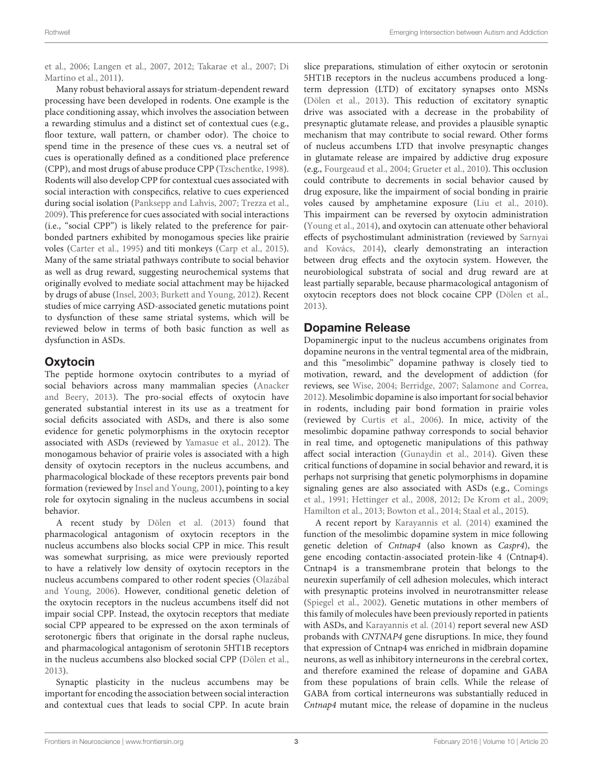et al., [2006;](#page-11-1) [Langen et al., 2007,](#page-9-12) [2012;](#page-9-13) [Takarae et al., 2007;](#page-10-12) Di Martino et al., [2011\)](#page-8-9).

Many robust behavioral assays for striatum-dependent reward processing have been developed in rodents. One example is the place conditioning assay, which involves the association between a rewarding stimulus and a distinct set of contextual cues (e.g., floor texture, wall pattern, or chamber odor). The choice to spend time in the presence of these cues vs. a neutral set of cues is operationally defined as a conditioned place preference (CPP), and most drugs of abuse produce CPP [\(Tzschentke, 1998\)](#page-10-13). Rodents will also develop CPP for contextual cues associated with social interaction with conspecifics, relative to cues experienced during social isolation [\(Panksepp and Lahvis, 2007;](#page-10-14) [Trezza et al.,](#page-10-15) [2009\)](#page-10-15). This preference for cues associated with social interactions (i.e., "social CPP") is likely related to the preference for pairbonded partners exhibited by monogamous species like prairie voles [\(Carter et al., 1995\)](#page-8-10) and titi monkeys [\(Carp et al., 2015\)](#page-8-11). Many of the same striatal pathways contribute to social behavior as well as drug reward, suggesting neurochemical systems that originally evolved to mediate social attachment may be hijacked by drugs of abuse [\(Insel, 2003;](#page-9-14) [Burkett and Young, 2012\)](#page-8-12). Recent studies of mice carrying ASD-associated genetic mutations point to dysfunction of these same striatal systems, which will be reviewed below in terms of both basic function as well as dysfunction in ASDs.

## **Oxytocin**

The peptide hormone oxytocin contributes to a myriad of social behaviors across many mammalian species (Anacker and Beery, [2013\)](#page-7-4). The pro-social effects of oxytocin have generated substantial interest in its use as a treatment for social deficits associated with ASDs, and there is also some evidence for genetic polymorphisms in the oxytocin receptor associated with ASDs (reviewed by [Yamasue et al., 2012\)](#page-11-5). The monogamous behavior of prairie voles is associated with a high density of oxytocin receptors in the nucleus accumbens, and pharmacological blockade of these receptors prevents pair bond formation (reviewed by [Insel and Young, 2001\)](#page-9-15), pointing to a key role for oxytocin signaling in the nucleus accumbens in social behavior.

A recent study by [Dölen et al. \(2013\)](#page-8-13) found that pharmacological antagonism of oxytocin receptors in the nucleus accumbens also blocks social CPP in mice. This result was somewhat surprising, as mice were previously reported to have a relatively low density of oxytocin receptors in the nucleus accumbens compared to other rodent species (Olazábal and Young, [2006\)](#page-10-16). However, conditional genetic deletion of the oxytocin receptors in the nucleus accumbens itself did not impair social CPP. Instead, the oxytocin receptors that mediate social CPP appeared to be expressed on the axon terminals of serotonergic fibers that originate in the dorsal raphe nucleus, and pharmacological antagonism of serotonin 5HT1B receptors in the nucleus accumbens also blocked social CPP [\(Dölen et al.,](#page-8-13) [2013\)](#page-8-13).

Synaptic plasticity in the nucleus accumbens may be important for encoding the association between social interaction and contextual cues that leads to social CPP. In acute brain slice preparations, stimulation of either oxytocin or serotonin 5HT1B receptors in the nucleus accumbens produced a longterm depression (LTD) of excitatory synapses onto MSNs [\(Dölen et al., 2013\)](#page-8-13). This reduction of excitatory synaptic drive was associated with a decrease in the probability of presynaptic glutamate release, and provides a plausible synaptic mechanism that may contribute to social reward. Other forms of nucleus accumbens LTD that involve presynaptic changes in glutamate release are impaired by addictive drug exposure (e.g., [Fourgeaud et al., 2004;](#page-8-14) [Grueter et al., 2010\)](#page-8-15). This occlusion could contribute to decrements in social behavior caused by drug exposure, like the impairment of social bonding in prairie voles caused by amphetamine exposure [\(Liu et al., 2010\)](#page-9-16). This impairment can be reversed by oxytocin administration [\(Young et al., 2014\)](#page-11-6), and oxytocin can attenuate other behavioral effects of psychostimulant administration (reviewed by Sarnyai and Kovács, [2014\)](#page-10-17), clearly demonstrating an interaction between drug effects and the oxytocin system. However, the neurobiological substrata of social and drug reward are at least partially separable, because pharmacological antagonism of oxytocin receptors does not block cocaine CPP [\(Dölen et al.,](#page-8-13) [2013\)](#page-8-13).

## Dopamine Release

Dopaminergic input to the nucleus accumbens originates from dopamine neurons in the ventral tegmental area of the midbrain, and this "mesolimbic" dopamine pathway is closely tied to motivation, reward, and the development of addiction (for reviews, see [Wise, 2004;](#page-11-7) [Berridge, 2007;](#page-7-5) [Salamone and Correa,](#page-10-18) [2012\)](#page-10-18). Mesolimbic dopamine is also important for social behavior in rodents, including pair bond formation in prairie voles (reviewed by [Curtis et al., 2006\)](#page-8-16). In mice, activity of the mesolimbic dopamine pathway corresponds to social behavior in real time, and optogenetic manipulations of this pathway affect social interaction [\(Gunaydin et al., 2014\)](#page-9-17). Given these critical functions of dopamine in social behavior and reward, it is perhaps not surprising that genetic polymorphisms in dopamine signaling genes are also associated with ASDs (e.g., Comings et al., [1991;](#page-8-17) [Hettinger et al., 2008,](#page-9-18) [2012;](#page-9-19) [De Krom et al., 2009;](#page-8-18) [Hamilton et al., 2013;](#page-9-20) [Bowton et al., 2014;](#page-8-19) [Staal et al., 2015\)](#page-10-19).

A recent report by [Karayannis et al. \(2014\)](#page-9-21) examined the function of the mesolimbic dopamine system in mice following genetic deletion of Cntnap4 (also known as Caspr4), the gene encoding contactin-associated protein-like 4 (Cntnap4). Cntnap4 is a transmembrane protein that belongs to the neurexin superfamily of cell adhesion molecules, which interact with presynaptic proteins involved in neurotransmitter release [\(Spiegel et al., 2002\)](#page-10-20). Genetic mutations in other members of this family of molecules have been previously reported in patients with ASDs, and [Karayannis et al. \(2014\)](#page-9-21) report several new ASD probands with CNTNAP4 gene disruptions. In mice, they found that expression of Cntnap4 was enriched in midbrain dopamine neurons, as well as inhibitory interneurons in the cerebral cortex, and therefore examined the release of dopamine and GABA from these populations of brain cells. While the release of GABA from cortical interneurons was substantially reduced in Cntnap4 mutant mice, the release of dopamine in the nucleus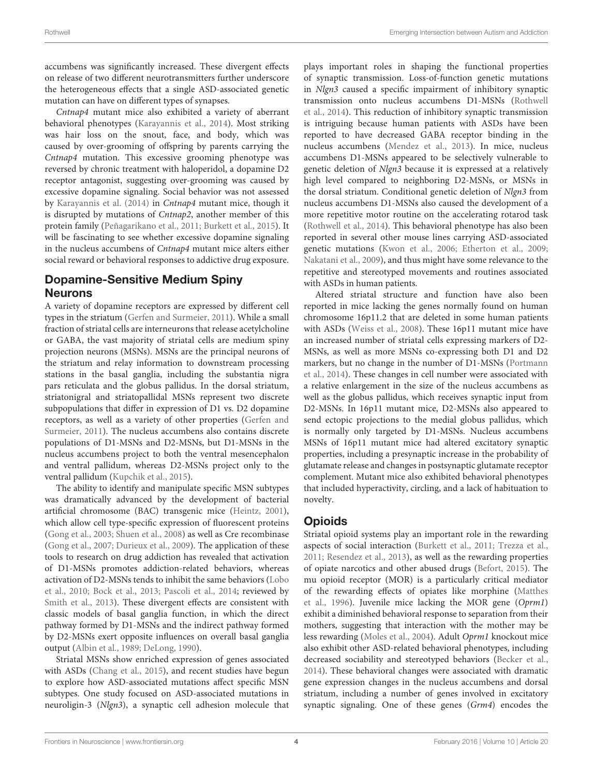accumbens was significantly increased. These divergent effects on release of two different neurotransmitters further underscore the heterogeneous effects that a single ASD-associated genetic mutation can have on different types of synapses.

Cntnap4 mutant mice also exhibited a variety of aberrant behavioral phenotypes [\(Karayannis et al., 2014\)](#page-9-21). Most striking was hair loss on the snout, face, and body, which was caused by over-grooming of offspring by parents carrying the Cntnap4 mutation. This excessive grooming phenotype was reversed by chronic treatment with haloperidol, a dopamine D2 receptor antagonist, suggesting over-grooming was caused by excessive dopamine signaling. Social behavior was not assessed by [Karayannis et al. \(2014\)](#page-9-21) in Cntnap4 mutant mice, though it is disrupted by mutations of Cntnap2, another member of this protein family [\(Peñagarikano et al., 2011;](#page-10-1) [Burkett et al., 2015\)](#page-8-20). It will be fascinating to see whether excessive dopamine signaling in the nucleus accumbens of Cntnap4 mutant mice alters either social reward or behavioral responses to addictive drug exposure.

# Dopamine-Sensitive Medium Spiny Neurons

A variety of dopamine receptors are expressed by different cell types in the striatum [\(Gerfen and Surmeier, 2011\)](#page-8-21). While a small fraction of striatal cells are interneurons that release acetylcholine or GABA, the vast majority of striatal cells are medium spiny projection neurons (MSNs). MSNs are the principal neurons of the striatum and relay information to downstream processing stations in the basal ganglia, including the substantia nigra pars reticulata and the globus pallidus. In the dorsal striatum, striatonigral and striatopallidal MSNs represent two discrete subpopulations that differ in expression of D1 vs. D2 dopamine receptors, as well as a variety of other properties (Gerfen and Surmeier, [2011\)](#page-8-21). The nucleus accumbens also contains discrete populations of D1-MSNs and D2-MSNs, but D1-MSNs in the nucleus accumbens project to both the ventral mesencephalon and ventral pallidum, whereas D2-MSNs project only to the ventral pallidum [\(Kupchik et al., 2015\)](#page-9-22).

The ability to identify and manipulate specific MSN subtypes was dramatically advanced by the development of bacterial artificial chromosome (BAC) transgenic mice [\(Heintz, 2001\)](#page-9-23), which allow cell type-specific expression of fluorescent proteins [\(Gong et al., 2003;](#page-8-22) [Shuen et al., 2008\)](#page-10-21) as well as Cre recombinase [\(Gong et al., 2007;](#page-8-23) [Durieux et al., 2009\)](#page-8-24). The application of these tools to research on drug addiction has revealed that activation of D1-MSNs promotes addiction-related behaviors, whereas activation of D2-MSNs tends to inhibit the same behaviors (Lobo et al., [2010;](#page-9-24) [Bock et al., 2013;](#page-7-6) [Pascoli et al., 2014;](#page-10-22) reviewed by [Smith et al., 2013\)](#page-10-23). These divergent effects are consistent with classic models of basal ganglia function, in which the direct pathway formed by D1-MSNs and the indirect pathway formed by D2-MSNs exert opposite influences on overall basal ganglia output [\(Albin et al., 1989;](#page-7-7) [DeLong, 1990\)](#page-8-25).

Striatal MSNs show enriched expression of genes associated with ASDs [\(Chang et al., 2015\)](#page-8-26), and recent studies have begun to explore how ASD-associated mutations affect specific MSN subtypes. One study focused on ASD-associated mutations in neuroligin-3 (Nlgn3), a synaptic cell adhesion molecule that plays important roles in shaping the functional properties of synaptic transmission. Loss-of-function genetic mutations in Nlgn3 caused a specific impairment of inhibitory synaptic transmission onto nucleus accumbens D1-MSNs (Rothwell et al., [2014\)](#page-10-24). This reduction of inhibitory synaptic transmission is intriguing because human patients with ASDs have been reported to have decreased GABA receptor binding in the nucleus accumbens [\(Mendez et al., 2013\)](#page-9-25). In mice, nucleus accumbens D1-MSNs appeared to be selectively vulnerable to genetic deletion of Nlgn3 because it is expressed at a relatively high level compared to neighboring D2-MSNs, or MSNs in the dorsal striatum. Conditional genetic deletion of Nlgn3 from nucleus accumbens D1-MSNs also caused the development of a more repetitive motor routine on the accelerating rotarod task [\(Rothwell et al., 2014\)](#page-10-24). This behavioral phenotype has also been reported in several other mouse lines carrying ASD-associated genetic mutations [\(Kwon et al., 2006;](#page-9-26) [Etherton et al., 2009;](#page-8-27) [Nakatani et al., 2009\)](#page-9-27), and thus might have some relevance to the repetitive and stereotyped movements and routines associated with ASDs in human patients.

Altered striatal structure and function have also been reported in mice lacking the genes normally found on human chromosome 16p11.2 that are deleted in some human patients with ASDs [\(Weiss et al., 2008\)](#page-11-8). These 16p11 mutant mice have an increased number of striatal cells expressing markers of D2- MSNs, as well as more MSNs co-expressing both D1 and D2 markers, but no change in the number of D1-MSNs (Portmann et al., [2014\)](#page-10-25). These changes in cell number were associated with a relative enlargement in the size of the nucleus accumbens as well as the globus pallidus, which receives synaptic input from D2-MSNs. In 16p11 mutant mice, D2-MSNs also appeared to send ectopic projections to the medial globus pallidus, which is normally only targeted by D1-MSNs. Nucleus accumbens MSNs of 16p11 mutant mice had altered excitatory synaptic properties, including a presynaptic increase in the probability of glutamate release and changes in postsynaptic glutamate receptor complement. Mutant mice also exhibited behavioral phenotypes that included hyperactivity, circling, and a lack of habituation to novelty.

# **Opioids**

Striatal opioid systems play an important role in the rewarding aspects of social interaction [\(Burkett et al., 2011;](#page-8-28) [Trezza et al.,](#page-10-26) [2011;](#page-10-26) [Resendez et al., 2013\)](#page-10-27), as well as the rewarding properties of opiate narcotics and other abused drugs [\(Befort, 2015\)](#page-7-8). The mu opioid receptor (MOR) is a particularly critical mediator of the rewarding effects of opiates like morphine (Matthes et al., [1996\)](#page-9-28). Juvenile mice lacking the MOR gene (Oprm1) exhibit a diminished behavioral response to separation from their mothers, suggesting that interaction with the mother may be less rewarding [\(Moles et al., 2004\)](#page-9-29). Adult Oprm1 knockout mice also exhibit other ASD-related behavioral phenotypes, including decreased sociability and stereotyped behaviors [\(Becker et al.,](#page-7-9) [2014\)](#page-7-9). These behavioral changes were associated with dramatic gene expression changes in the nucleus accumbens and dorsal striatum, including a number of genes involved in excitatory synaptic signaling. One of these genes (Grm4) encodes the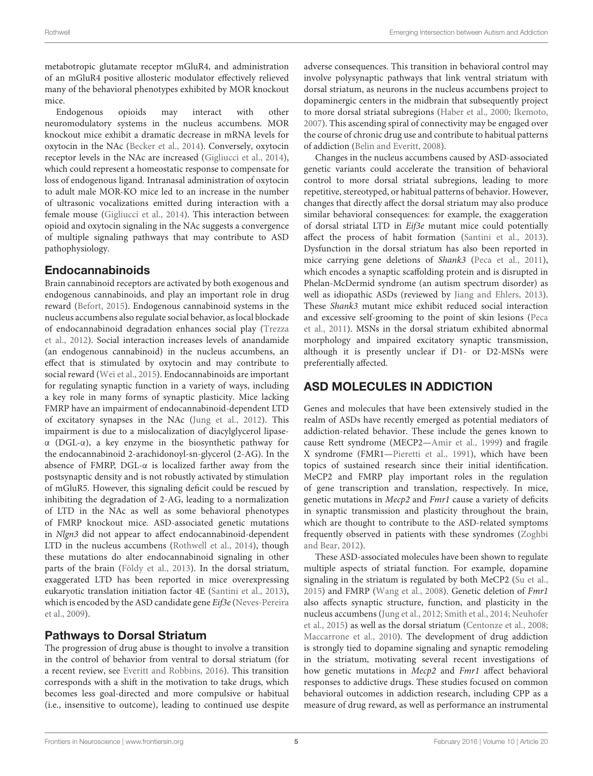metabotropic glutamate receptor mGluR4, and administration of an mGluR4 positive allosteric modulator effectively relieved many of the behavioral phenotypes exhibited by MOR knockout mice.

Endogenous opioids may interact with other neuromodulatory systems in the nucleus accumbens. MOR knockout mice exhibit a dramatic decrease in mRNA levels for oxytocin in the NAc [\(Becker et al., 2014\)](#page-7-9). Conversely, oxytocin receptor levels in the NAc are increased [\(Gigliucci et al., 2014\)](#page-8-29), which could represent a homeostatic response to compensate for loss of endogenous ligand. Intranasal administration of oxytocin to adult male MOR-KO mice led to an increase in the number of ultrasonic vocalizations emitted during interaction with a female mouse [\(Gigliucci et al., 2014\)](#page-8-29). This interaction between opioid and oxytocin signaling in the NAc suggests a convergence of multiple signaling pathways that may contribute to ASD pathophysiology.

#### Endocannabinoids

Brain cannabinoid receptors are activated by both exogenous and endogenous cannabinoids, and play an important role in drug reward [\(Befort, 2015\)](#page-7-8). Endogenous cannabinoid systems in the nucleus accumbens also regulate social behavior, as local blockade of endocannabinoid degradation enhances social play (Trezza et al., [2012\)](#page-10-28). Social interaction increases levels of anandamide (an endogenous cannabinoid) in the nucleus accumbens, an effect that is stimulated by oxytocin and may contribute to social reward [\(Wei et al., 2015\)](#page-11-9). Endocannabinoids are important for regulating synaptic function in a variety of ways, including a key role in many forms of synaptic plasticity. Mice lacking FMRP have an impairment of endocannabinoid-dependent LTD of excitatory synapses in the NAc [\(Jung et al., 2012\)](#page-9-30). This impairment is due to a mislocalization of diacylglycerol lipaseα (DGL-α), a key enzyme in the biosynthetic pathway for the endocannabinoid 2-arachidonoyl-sn-glycerol (2-AG). In the absence of FMRP, DGL-α is localized farther away from the postsynaptic density and is not robustly activated by stimulation of mGluR5. However, this signaling deficit could be rescued by inhibiting the degradation of 2-AG, leading to a normalization of LTD in the NAc as well as some behavioral phenotypes of FMRP knockout mice. ASD-associated genetic mutations in Nlgn3 did not appear to affect endocannabinoid-dependent LTD in the nucleus accumbens [\(Rothwell et al., 2014\)](#page-10-24), though these mutations do alter endocannabinoid signaling in other parts of the brain [\(Földy et al., 2013\)](#page-8-3). In the dorsal striatum, exaggerated LTD has been reported in mice overexpressing eukaryotic translation initiation factor 4E [\(Santini et al., 2013\)](#page-10-29), which is encoded by the ASD candidate gene Eif3e (Neves-Pereira et al., [2009\)](#page-10-30).

## Pathways to Dorsal Striatum

The progression of drug abuse is thought to involve a transition in the control of behavior from ventral to dorsal striatum (for a recent review, see [Everitt and Robbins, 2016\)](#page-8-30). This transition corresponds with a shift in the motivation to take drugs, which becomes less goal-directed and more compulsive or habitual (i.e., insensitive to outcome), leading to continued use despite adverse consequences. This transition in behavioral control may involve polysynaptic pathways that link ventral striatum with dorsal striatum, as neurons in the nucleus accumbens project to dopaminergic centers in the midbrain that subsequently project to more dorsal striatal subregions [\(Haber et al., 2000;](#page-9-31) [Ikemoto,](#page-9-32) [2007\)](#page-9-32). This ascending spiral of connectivity may be engaged over the course of chronic drug use and contribute to habitual patterns of addiction [\(Belin and Everitt, 2008\)](#page-7-10).

Changes in the nucleus accumbens caused by ASD-associated genetic variants could accelerate the transition of behavioral control to more dorsal striatal subregions, leading to more repetitive, stereotyped, or habitual patterns of behavior. However, changes that directly affect the dorsal striatum may also produce similar behavioral consequences: for example, the exaggeration of dorsal striatal LTD in Eif3e mutant mice could potentially affect the process of habit formation [\(Santini et al., 2013\)](#page-10-29). Dysfunction in the dorsal striatum has also been reported in mice carrying gene deletions of Shank3 [\(Peca et al., 2011\)](#page-10-31), which encodes a synaptic scaffolding protein and is disrupted in Phelan-McDermid syndrome (an autism spectrum disorder) as well as idiopathic ASDs (reviewed by [Jiang and Ehlers, 2013\)](#page-9-2). These Shank3 mutant mice exhibit reduced social interaction and excessive self-grooming to the point of skin lesions (Peca et al., [2011\)](#page-10-31). MSNs in the dorsal striatum exhibited abnormal morphology and impaired excitatory synaptic transmission, although it is presently unclear if D1- or D2-MSNs were preferentially affected.

# ASD MOLECULES IN ADDICTION

Genes and molecules that have been extensively studied in the realm of ASDs have recently emerged as potential mediators of addiction-related behavior. These include the genes known to cause Rett syndrome (MECP2[—Amir et al., 1999\)](#page-7-11) and fragile X syndrome (FMR1[—Pieretti et al., 1991\)](#page-10-32), which have been topics of sustained research since their initial identification. MeCP2 and FMRP play important roles in the regulation of gene transcription and translation, respectively. In mice, genetic mutations in Mecp2 and Fmr1 cause a variety of deficits in synaptic transmission and plasticity throughout the brain, which are thought to contribute to the ASD-related symptoms frequently observed in patients with these syndromes (Zoghbi and Bear, [2012\)](#page-11-0).

These ASD-associated molecules have been shown to regulate multiple aspects of striatal function. For example, dopamine signaling in the striatum is regulated by both MeCP2 [\(Su et al.,](#page-10-33) [2015\)](#page-10-33) and FMRP [\(Wang et al., 2008\)](#page-11-10). Genetic deletion of Fmr1 also affects synaptic structure, function, and plasticity in the nucleus accumbens [\(Jung et al., 2012;](#page-9-30) [Smith et al., 2014;](#page-10-34) Neuhofer et al., [2015\)](#page-9-33) as well as the dorsal striatum [\(Centonze et al., 2008;](#page-8-31) [Maccarrone et al., 2010\)](#page-9-34). The development of drug addiction is strongly tied to dopamine signaling and synaptic remodeling in the striatum, motivating several recent investigations of how genetic mutations in Mecp2 and Fmr1 affect behavioral responses to addictive drugs. These studies focused on common behavioral outcomes in addiction research, including CPP as a measure of drug reward, as well as performance an instrumental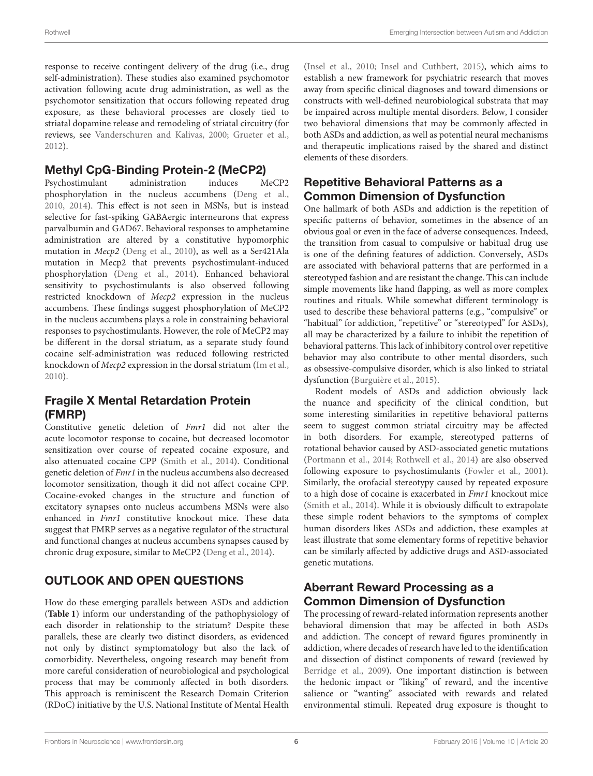response to receive contingent delivery of the drug (i.e., drug self-administration). These studies also examined psychomotor activation following acute drug administration, as well as the psychomotor sensitization that occurs following repeated drug exposure, as these behavioral processes are closely tied to striatal dopamine release and remodeling of striatal circuitry (for reviews, see [Vanderschuren and Kalivas, 2000;](#page-10-35) [Grueter et al.,](#page-9-7) [2012\)](#page-9-7).

# Methyl CpG-Binding Protein-2 (MeCP2)

Psychostimulant administration induces MeCP2 phosphorylation in the nucleus accumbens [\(Deng et al.,](#page-8-32) [2010,](#page-8-32) [2014\)](#page-8-33). This effect is not seen in MSNs, but is instead selective for fast-spiking GABAergic interneurons that express parvalbumin and GAD67. Behavioral responses to amphetamine administration are altered by a constitutive hypomorphic mutation in Mecp2 [\(Deng et al., 2010\)](#page-8-32), as well as a Ser421Ala mutation in Mecp2 that prevents psychostimulant-induced phosphorylation [\(Deng et al., 2014\)](#page-8-33). Enhanced behavioral sensitivity to psychostimulants is also observed following restricted knockdown of Mecp2 expression in the nucleus accumbens. These findings suggest phosphorylation of MeCP2 in the nucleus accumbens plays a role in constraining behavioral responses to psychostimulants. However, the role of MeCP2 may be different in the dorsal striatum, as a separate study found cocaine self-administration was reduced following restricted knockdown of Mecp2 expression in the dorsal striatum [\(Im et al.,](#page-9-35) [2010\)](#page-9-35).

# Fragile X Mental Retardation Protein (FMRP)

Constitutive genetic deletion of Fmr1 did not alter the acute locomotor response to cocaine, but decreased locomotor sensitization over course of repeated cocaine exposure, and also attenuated cocaine CPP [\(Smith et al., 2014\)](#page-10-34). Conditional genetic deletion of Fmr1 in the nucleus accumbens also decreased locomotor sensitization, though it did not affect cocaine CPP. Cocaine-evoked changes in the structure and function of excitatory synapses onto nucleus accumbens MSNs were also enhanced in Fmr1 constitutive knockout mice. These data suggest that FMRP serves as a negative regulator of the structural and functional changes at nucleus accumbens synapses caused by chronic drug exposure, similar to MeCP2 [\(Deng et al., 2014\)](#page-8-33).

# OUTLOOK AND OPEN QUESTIONS

How do these emerging parallels between ASDs and addiction (**[Table 1](#page-6-0)**) inform our understanding of the pathophysiology of each disorder in relationship to the striatum? Despite these parallels, these are clearly two distinct disorders, as evidenced not only by distinct symptomatology but also the lack of comorbidity. Nevertheless, ongoing research may benefit from more careful consideration of neurobiological and psychological process that may be commonly affected in both disorders. This approach is reminiscent the Research Domain Criterion (RDoC) initiative by the U.S. National Institute of Mental Health [\(Insel et al., 2010;](#page-9-36) [Insel and Cuthbert, 2015\)](#page-9-37), which aims to establish a new framework for psychiatric research that moves away from specific clinical diagnoses and toward dimensions or constructs with well-defined neurobiological substrata that may be impaired across multiple mental disorders. Below, I consider two behavioral dimensions that may be commonly affected in both ASDs and addiction, as well as potential neural mechanisms and therapeutic implications raised by the shared and distinct elements of these disorders.

# Repetitive Behavioral Patterns as a Common Dimension of Dysfunction

One hallmark of both ASDs and addiction is the repetition of specific patterns of behavior, sometimes in the absence of an obvious goal or even in the face of adverse consequences. Indeed, the transition from casual to compulsive or habitual drug use is one of the defining features of addiction. Conversely, ASDs are associated with behavioral patterns that are performed in a stereotyped fashion and are resistant the change. This can include simple movements like hand flapping, as well as more complex routines and rituals. While somewhat different terminology is used to describe these behavioral patterns (e.g., "compulsive" or "habitual" for addiction, "repetitive" or "stereotyped" for ASDs), all may be characterized by a failure to inhibit the repetition of behavioral patterns. This lack of inhibitory control over repetitive behavior may also contribute to other mental disorders, such as obsessive-compulsive disorder, which is also linked to striatal dysfunction [\(Burguière et al., 2015\)](#page-8-34).

Rodent models of ASDs and addiction obviously lack the nuance and specificity of the clinical condition, but some interesting similarities in repetitive behavioral patterns seem to suggest common striatal circuitry may be affected in both disorders. For example, stereotyped patterns of rotational behavior caused by ASD-associated genetic mutations [\(Portmann et al., 2014;](#page-10-25) [Rothwell et al., 2014\)](#page-10-24) are also observed following exposure to psychostimulants [\(Fowler et al., 2001\)](#page-8-35). Similarly, the orofacial stereotypy caused by repeated exposure to a high dose of cocaine is exacerbated in Fmr1 knockout mice [\(Smith et al., 2014\)](#page-10-34). While it is obviously difficult to extrapolate these simple rodent behaviors to the symptoms of complex human disorders likes ASDs and addiction, these examples at least illustrate that some elementary forms of repetitive behavior can be similarly affected by addictive drugs and ASD-associated genetic mutations.

# Aberrant Reward Processing as a Common Dimension of Dysfunction

The processing of reward-related information represents another behavioral dimension that may be affected in both ASDs and addiction. The concept of reward figures prominently in addiction, where decades of research have led to the identification and dissection of distinct components of reward (reviewed by [Berridge et al., 2009\)](#page-7-12). One important distinction is between the hedonic impact or "liking" of reward, and the incentive salience or "wanting" associated with rewards and related environmental stimuli. Repeated drug exposure is thought to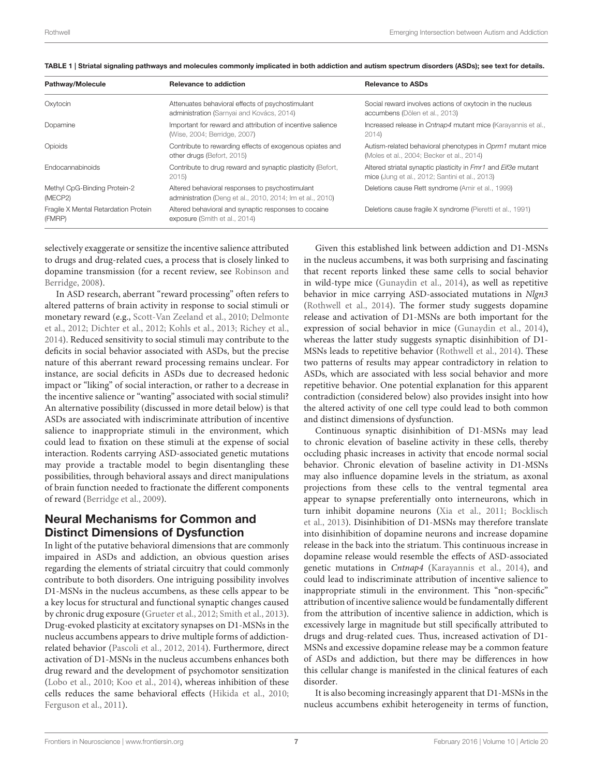| Pathway/Molecule                               | <b>Relevance to addiction</b>                                                                                | <b>Relevance to ASDs</b>                                                                                        |
|------------------------------------------------|--------------------------------------------------------------------------------------------------------------|-----------------------------------------------------------------------------------------------------------------|
| Oxytocin                                       | Attenuates behavioral effects of psychostimulant<br>administration (Sarnyai and Kovács, 2014)                | Social reward involves actions of oxytocin in the nucleus<br>accumbens (Dölen et al., 2013)                     |
| Dopamine                                       | Important for reward and attribution of incentive salience<br>(Wise, 2004; Berridge, 2007)                   | Increased release in Cntnap4 mutant mice (Karayannis et al.,<br>2014                                            |
| Opioids                                        | Contribute to rewarding effects of exogenous opiates and<br>other drugs (Befort, 2015)                       | Autism-related behavioral phenotypes in Oprm1 mutant mice<br>(Moles et al., 2004; Becker et al., 2014)          |
| <b>Endocannabinoids</b>                        | Contribute to drug reward and synaptic plasticity (Befort,<br>2015                                           | Altered striatal synaptic plasticity in Fmr1 and Eif3e mutant<br>mice (Jung et al., 2012; Santini et al., 2013) |
| Methyl CpG-Binding Protein-2<br>(MECP2)        | Altered behavioral responses to psychostimulant<br>administration (Deng et al., 2010, 2014; Im et al., 2010) | Deletions cause Rett syndrome (Amir et al., 1999)                                                               |
| Fragile X Mental Retardation Protein<br>(FMRP) | Altered behavioral and synaptic responses to cocaine<br>exposure (Smith et al., 2014)                        | Deletions cause fragile X syndrome (Pieretti et al., 1991)                                                      |

<span id="page-6-0"></span>TABLE 1 | Striatal signaling pathways and molecules commonly implicated in both addiction and autism spectrum disorders (ASDs); see text for details.

selectively exaggerate or sensitize the incentive salience attributed to drugs and drug-related cues, a process that is closely linked to dopamine transmission (for a recent review, see Robinson and Berridge, [2008\)](#page-10-36).

In ASD research, aberrant "reward processing" often refers to altered patterns of brain activity in response to social stimuli or monetary reward (e.g., [Scott-Van Zeeland et al., 2010;](#page-10-8) Delmonte et al., [2012;](#page-8-4) [Dichter et al., 2012;](#page-8-7) [Kohls et al., 2013;](#page-9-9) [Richey et al.,](#page-10-9) [2014\)](#page-10-9). Reduced sensitivity to social stimuli may contribute to the deficits in social behavior associated with ASDs, but the precise nature of this aberrant reward processing remains unclear. For instance, are social deficits in ASDs due to decreased hedonic impact or "liking" of social interaction, or rather to a decrease in the incentive salience or "wanting" associated with social stimuli? An alternative possibility (discussed in more detail below) is that ASDs are associated with indiscriminate attribution of incentive salience to inappropriate stimuli in the environment, which could lead to fixation on these stimuli at the expense of social interaction. Rodents carrying ASD-associated genetic mutations may provide a tractable model to begin disentangling these possibilities, through behavioral assays and direct manipulations of brain function needed to fractionate the different components of reward [\(Berridge et al., 2009\)](#page-7-12).

# Neural Mechanisms for Common and Distinct Dimensions of Dysfunction

In light of the putative behavioral dimensions that are commonly impaired in ASDs and addiction, an obvious question arises regarding the elements of striatal circuitry that could commonly contribute to both disorders. One intriguing possibility involves D1-MSNs in the nucleus accumbens, as these cells appear to be a key locus for structural and functional synaptic changes caused by chronic drug exposure [\(Grueter et al., 2012;](#page-9-7) [Smith et al., 2013\)](#page-10-23). Drug-evoked plasticity at excitatory synapses on D1-MSNs in the nucleus accumbens appears to drive multiple forms of addictionrelated behavior [\(Pascoli et al., 2012,](#page-10-37) [2014\)](#page-10-22). Furthermore, direct activation of D1-MSNs in the nucleus accumbens enhances both drug reward and the development of psychomotor sensitization [\(Lobo et al., 2010;](#page-9-24) [Koo et al., 2014\)](#page-9-38), whereas inhibition of these cells reduces the same behavioral effects [\(Hikida et al., 2010;](#page-9-39) [Ferguson et al., 2011\)](#page-8-36).

Given this established link between addiction and D1-MSNs in the nucleus accumbens, it was both surprising and fascinating that recent reports linked these same cells to social behavior in wild-type mice [\(Gunaydin et al., 2014\)](#page-9-17), as well as repetitive behavior in mice carrying ASD-associated mutations in Nlgn3 [\(Rothwell et al., 2014\)](#page-10-24). The former study suggests dopamine release and activation of D1-MSNs are both important for the expression of social behavior in mice [\(Gunaydin et al., 2014\)](#page-9-17), whereas the latter study suggests synaptic disinhibition of D1- MSNs leads to repetitive behavior [\(Rothwell et al., 2014\)](#page-10-24). These two patterns of results may appear contradictory in relation to ASDs, which are associated with less social behavior and more repetitive behavior. One potential explanation for this apparent contradiction (considered below) also provides insight into how the altered activity of one cell type could lead to both common and distinct dimensions of dysfunction.

Continuous synaptic disinhibition of D1-MSNs may lead to chronic elevation of baseline activity in these cells, thereby occluding phasic increases in activity that encode normal social behavior. Chronic elevation of baseline activity in D1-MSNs may also influence dopamine levels in the striatum, as axonal projections from these cells to the ventral tegmental area appear to synapse preferentially onto interneurons, which in turn inhibit dopamine neurons [\(Xia et al., 2011;](#page-11-11) Bocklisch et al., [2013\)](#page-7-13). Disinhibition of D1-MSNs may therefore translate into disinhibition of dopamine neurons and increase dopamine release in the back into the striatum. This continuous increase in dopamine release would resemble the effects of ASD-associated genetic mutations in Cntnap4 [\(Karayannis et al., 2014\)](#page-9-21), and could lead to indiscriminate attribution of incentive salience to inappropriate stimuli in the environment. This "non-specific" attribution of incentive salience would be fundamentally different from the attribution of incentive salience in addiction, which is excessively large in magnitude but still specifically attributed to drugs and drug-related cues. Thus, increased activation of D1- MSNs and excessive dopamine release may be a common feature of ASDs and addiction, but there may be differences in how this cellular change is manifested in the clinical features of each disorder.

It is also becoming increasingly apparent that D1-MSNs in the nucleus accumbens exhibit heterogeneity in terms of function,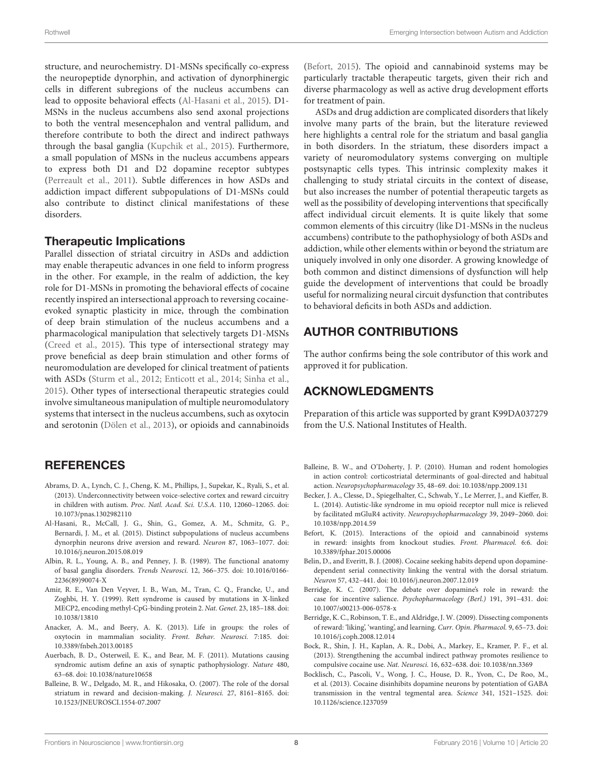structure, and neurochemistry. D1-MSNs specifically co-express the neuropeptide dynorphin, and activation of dynorphinergic cells in different subregions of the nucleus accumbens can lead to opposite behavioral effects [\(Al-Hasani et al., 2015\)](#page-7-14). D1- MSNs in the nucleus accumbens also send axonal projections to both the ventral mesencephalon and ventral pallidum, and therefore contribute to both the direct and indirect pathways through the basal ganglia [\(Kupchik et al., 2015\)](#page-9-22). Furthermore, a small population of MSNs in the nucleus accumbens appears to express both D1 and D2 dopamine receptor subtypes [\(Perreault et al., 2011\)](#page-10-38). Subtle differences in how ASDs and addiction impact different subpopulations of D1-MSNs could also contribute to distinct clinical manifestations of these disorders.

#### Therapeutic Implications

Parallel dissection of striatal circuitry in ASDs and addiction may enable therapeutic advances in one field to inform progress in the other. For example, in the realm of addiction, the key role for D1-MSNs in promoting the behavioral effects of cocaine recently inspired an intersectional approach to reversing cocaineevoked synaptic plasticity in mice, through the combination of deep brain stimulation of the nucleus accumbens and a pharmacological manipulation that selectively targets D1-MSNs [\(Creed et al., 2015\)](#page-8-37). This type of intersectional strategy may prove beneficial as deep brain stimulation and other forms of neuromodulation are developed for clinical treatment of patients with ASDs [\(Sturm et al., 2012;](#page-10-39) [Enticott et al., 2014;](#page-8-38) [Sinha et al.,](#page-10-40) [2015\)](#page-10-40). Other types of intersectional therapeutic strategies could involve simultaneous manipulation of multiple neuromodulatory systems that intersect in the nucleus accumbens, such as oxytocin and serotonin [\(Dölen et al., 2013\)](#page-8-13), or opioids and cannabinoids

## **REFERENCES**

- <span id="page-7-1"></span>Abrams, D. A., Lynch, C. J., Cheng, K. M., Phillips, J., Supekar, K., Ryali, S., et al. (2013). Underconnectivity between voice-selective cortex and reward circuitry in children with autism. Proc. Natl. Acad. Sci. U.S.A. 110, 12060–12065. doi: 10.1073/pnas.1302982110
- <span id="page-7-14"></span>Al-Hasani, R., McCall, J. G., Shin, G., Gomez, A. M., Schmitz, G. P., Bernardi, J. M., et al. (2015). Distinct subpopulations of nucleus accumbens dynorphin neurons drive aversion and reward. Neuron 87, 1063–1077. doi: 10.1016/j.neuron.2015.08.019
- <span id="page-7-7"></span>Albin, R. L., Young, A. B., and Penney, J. B. (1989). The functional anatomy of basal ganglia disorders. Trends Neurosci. 12, 366–375. doi: 10.1016/0166- 2236(89)90074-X
- <span id="page-7-11"></span>Amir, R. E., Van Den Veyver, I. B., Wan, M., Tran, C. Q., Francke, U., and Zoghbi, H. Y. (1999). Rett syndrome is caused by mutations in X-linked MECP2, encoding methyl-CpG-binding protein 2. Nat. Genet. 23, 185–188. doi: 10.1038/13810
- <span id="page-7-4"></span>Anacker, A. M., and Beery, A. K. (2013). Life in groups: the roles of oxytocin in mammalian sociality. Front. Behav. Neurosci. 7:185. doi: 10.3389/fnbeh.2013.00185
- <span id="page-7-0"></span>Auerbach, B. D., Osterweil, E. K., and Bear, M. F. (2011). Mutations causing syndromic autism define an axis of synaptic pathophysiology. Nature 480, 63–68. doi: 10.1038/nature10658
- <span id="page-7-2"></span>Balleine, B. W., Delgado, M. R., and Hikosaka, O. (2007). The role of the dorsal striatum in reward and decision-making. J. Neurosci. 27, 8161–8165. doi: 10.1523/JNEUROSCI.1554-07.2007

[\(Befort, 2015\)](#page-7-8). The opioid and cannabinoid systems may be particularly tractable therapeutic targets, given their rich and diverse pharmacology as well as active drug development efforts for treatment of pain.

ASDs and drug addiction are complicated disorders that likely involve many parts of the brain, but the literature reviewed here highlights a central role for the striatum and basal ganglia in both disorders. In the striatum, these disorders impact a variety of neuromodulatory systems converging on multiple postsynaptic cells types. This intrinsic complexity makes it challenging to study striatal circuits in the context of disease, but also increases the number of potential therapeutic targets as well as the possibility of developing interventions that specifically affect individual circuit elements. It is quite likely that some common elements of this circuitry (like D1-MSNs in the nucleus accumbens) contribute to the pathophysiology of both ASDs and addiction, while other elements within or beyond the striatum are uniquely involved in only one disorder. A growing knowledge of both common and distinct dimensions of dysfunction will help guide the development of interventions that could be broadly useful for normalizing neural circuit dysfunction that contributes to behavioral deficits in both ASDs and addiction.

## AUTHOR CONTRIBUTIONS

The author confirms being the sole contributor of this work and approved it for publication.

#### ACKNOWLEDGMENTS

Preparation of this article was supported by grant K99DA037279 from the U.S. National Institutes of Health.

- <span id="page-7-3"></span>Balleine, B. W., and O'Doherty, J. P. (2010). Human and rodent homologies in action control: corticostriatal determinants of goal-directed and habitual action. Neuropsychopharmacology 35, 48–69. doi: 10.1038/npp.2009.131
- <span id="page-7-9"></span>Becker, J. A., Clesse, D., Spiegelhalter, C., Schwab, Y., Le Merrer, J., and Kieffer, B. L. (2014). Autistic-like syndrome in mu opioid receptor null mice is relieved by facilitated mGluR4 activity. Neuropsychopharmacology 39, 2049–2060. doi: 10.1038/npp.2014.59
- <span id="page-7-8"></span>Befort, K. (2015). Interactions of the opioid and cannabinoid systems in reward: insights from knockout studies. Front. Pharmacol. 6:6. doi: 10.3389/fphar.2015.00006
- <span id="page-7-10"></span>Belin, D., and Everitt, B. J. (2008). Cocaine seeking habits depend upon dopaminedependent serial connectivity linking the ventral with the dorsal striatum. Neuron 57, 432–441. doi: 10.1016/j.neuron.2007.12.019
- <span id="page-7-5"></span>Berridge, K. C. (2007). The debate over dopamine's role in reward: the case for incentive salience. Psychopharmacology (Berl.) 191, 391–431. doi: 10.1007/s00213-006-0578-x
- <span id="page-7-12"></span>Berridge, K. C., Robinson, T. E., and Aldridge, J. W. (2009). Dissecting components of reward: 'liking', 'wanting', and learning. Curr. Opin. Pharmacol. 9, 65–73. doi: 10.1016/j.coph.2008.12.014
- <span id="page-7-6"></span>Bock, R., Shin, J. H., Kaplan, A. R., Dobi, A., Markey, E., Kramer, P. F., et al. (2013). Strengthening the accumbal indirect pathway promotes resilience to compulsive cocaine use. Nat. Neurosci. 16, 632–638. doi: 10.1038/nn.3369
- <span id="page-7-13"></span>Bocklisch, C., Pascoli, V., Wong, J. C., House, D. R., Yvon, C., De Roo, M., et al. (2013). Cocaine disinhibits dopamine neurons by potentiation of GABA transmission in the ventral tegmental area. Science 341, 1521–1525. doi: 10.1126/science.1237059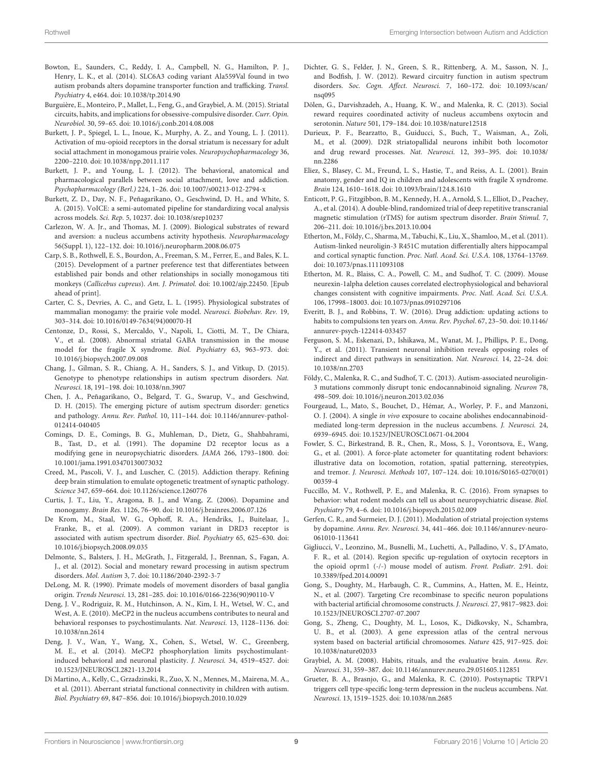- <span id="page-8-19"></span>Bowton, E., Saunders, C., Reddy, I. A., Campbell, N. G., Hamilton, P. J., Henry, L. K., et al. (2014). SLC6A3 coding variant Ala559Val found in two autism probands alters dopamine transporter function and trafficking. Transl. Psychiatry 4, e464. doi: 10.1038/tp.2014.90
- <span id="page-8-34"></span>Burguière, E., Monteiro, P., Mallet, L., Feng, G., and Graybiel, A. M. (2015). Striatal circuits, habits, and implications for obsessive-compulsive disorder. Curr. Opin. Neurobiol. 30, 59–65. doi: 10.1016/j.conb.2014.08.008
- <span id="page-8-28"></span>Burkett, J. P., Spiegel, L. L., Inoue, K., Murphy, A. Z., and Young, L. J. (2011). Activation of mu-opioid receptors in the dorsal striatum is necessary for adult social attachment in monogamous prairie voles. Neuropsychopharmacology 36, 2200–2210. doi: 10.1038/npp.2011.117
- <span id="page-8-12"></span>Burkett, J. P., and Young, L. J. (2012). The behavioral, anatomical and pharmacological parallels between social attachment, love and addiction. Psychopharmacology (Berl.) 224, 1–26. doi: 10.1007/s00213-012-2794-x
- <span id="page-8-20"></span>Burkett, Z. D., Day, N. F., Peñagarikano, O., Geschwind, D. H., and White, S. A. (2015). VoICE: a semi-automated pipeline for standardizing vocal analysis across models. Sci. Rep. 5, 10237. doi: 10.1038/srep10237
- <span id="page-8-6"></span>Carlezon, W. A. Jr., and Thomas, M. J. (2009). Biological substrates of reward and aversion: a nucleus accumbens activity hypothesis. Neuropharmacology 56(Suppl. 1), 122–132. doi: 10.1016/j.neuropharm.2008.06.075
- <span id="page-8-11"></span>Carp, S. B., Rothwell, E. S., Bourdon, A., Freeman, S. M., Ferrer, E., and Bales, K. L. (2015). Development of a partner preference test that differentiates between established pair bonds and other relationships in socially monogamous titi monkeys (Callicebus cupreus). Am. J. Primatol. doi: 10.1002/ajp.22450. [Epub ahead of print].
- <span id="page-8-10"></span>Carter, C. S., Devries, A. C., and Getz, L. L. (1995). Physiological substrates of mammalian monogamy: the prairie vole model. Neurosci. Biobehav. Rev. 19, 303–314. doi: 10.1016/0149-7634(94)00070-H
- <span id="page-8-31"></span>Centonze, D., Rossi, S., Mercaldo, V., Napoli, I., Ciotti, M. T., De Chiara, V., et al. (2008). Abnormal striatal GABA transmission in the mouse model for the fragile X syndrome. Biol. Psychiatry 63, 963–973. doi: 10.1016/j.biopsych.2007.09.008
- <span id="page-8-26"></span>Chang, J., Gilman, S. R., Chiang, A. H., Sanders, S. J., and Vitkup, D. (2015). Genotype to phenotype relationships in autism spectrum disorders. Nat. Neurosci. 18, 191–198. doi: 10.1038/nn.3907
- <span id="page-8-0"></span>Chen, J. A., Peñagarikano, O., Belgard, T. G., Swarup, V., and Geschwind, D. H. (2015). The emerging picture of autism spectrum disorder: genetics and pathology. Annu. Rev. Pathol. 10, 111–144. doi: 10.1146/annurev-pathol-012414-040405
- <span id="page-8-17"></span>Comings, D. E., Comings, B. G., Muhleman, D., Dietz, G., Shahbahrami, B., Tast, D., et al. (1991). The dopamine D2 receptor locus as a modifying gene in neuropsychiatric disorders. JAMA 266, 1793–1800. doi: 10.1001/jama.1991.03470130073032
- <span id="page-8-37"></span>Creed, M., Pascoli, V. J., and Luscher, C. (2015). Addiction therapy. Refining deep brain stimulation to emulate optogenetic treatment of synaptic pathology. Science 347, 659–664. doi: 10.1126/science.1260776
- <span id="page-8-16"></span>Curtis, J. T., Liu, Y., Aragona, B. J., and Wang, Z. (2006). Dopamine and monogamy. Brain Res. 1126, 76–90. doi: 10.1016/j.brainres.2006.07.126
- <span id="page-8-18"></span>De Krom, M., Staal, W. G., Ophoff, R. A., Hendriks, J., Buitelaar, J., Franke, B., et al. (2009). A common variant in DRD3 receptor is associated with autism spectrum disorder. Biol. Psychiatry 65, 625–630. doi: 10.1016/j.biopsych.2008.09.035
- <span id="page-8-4"></span>Delmonte, S., Balsters, J. H., McGrath, J., Fitzgerald, J., Brennan, S., Fagan, A. J., et al. (2012). Social and monetary reward processing in autism spectrum disorders. Mol. Autism 3, 7. doi: 10.1186/2040-2392-3-7
- <span id="page-8-25"></span>DeLong, M. R. (1990). Primate models of movement disorders of basal ganglia origin. Trends Neurosci. 13, 281–285. doi: 10.1016/0166-2236(90)90110-V
- <span id="page-8-32"></span>Deng, J. V., Rodriguiz, R. M., Hutchinson, A. N., Kim, I. H., Wetsel, W. C., and West, A. E. (2010). MeCP2 in the nucleus accumbens contributes to neural and behavioral responses to psychostimulants. Nat. Neurosci. 13, 1128–1136. doi: 10.1038/nn.2614
- <span id="page-8-33"></span>Deng, J. V., Wan, Y., Wang, X., Cohen, S., Wetsel, W. C., Greenberg, M. E., et al. (2014). MeCP2 phosphorylation limits psychostimulantinduced behavioral and neuronal plasticity. J. Neurosci. 34, 4519–4527. doi: 10.1523/JNEUROSCI.2821-13.2014
- <span id="page-8-9"></span>Di Martino, A., Kelly, C., Grzadzinski, R., Zuo, X. N., Mennes, M., Mairena, M. A., et al. (2011). Aberrant striatal functional connectivity in children with autism. Biol. Psychiatry 69, 847–856. doi: 10.1016/j.biopsych.2010.10.029
- <span id="page-8-7"></span>Dichter, G. S., Felder, J. N., Green, S. R., Rittenberg, A. M., Sasson, N. J., and Bodfish, J. W. (2012). Reward circuitry function in autism spectrum disorders. Soc. Cogn. Affect. Neurosci. 7, 160–172. doi: 10.1093/scan/ nsq095
- <span id="page-8-13"></span>Dölen, G., Darvishzadeh, A., Huang, K. W., and Malenka, R. C. (2013). Social reward requires coordinated activity of nucleus accumbens oxytocin and serotonin. Nature 501, 179–184. doi: 10.1038/nature12518
- <span id="page-8-24"></span>Durieux, P. F., Bearzatto, B., Guiducci, S., Buch, T., Waisman, A., Zoli, M., et al. (2009). D2R striatopallidal neurons inhibit both locomotor and drug reward processes. Nat. Neurosci. 12, 393–395. doi: 10.1038/ nn.2286
- <span id="page-8-8"></span>Eliez, S., Blasey, C. M., Freund, L. S., Hastie, T., and Reiss, A. L. (2001). Brain anatomy, gender and IQ in children and adolescents with fragile X syndrome. Brain 124, 1610–1618. doi: 10.1093/brain/124.8.1610
- <span id="page-8-38"></span>Enticott, P. G., Fitzgibbon, B. M., Kennedy, H. A., Arnold, S. L., Elliot, D., Peachey, A., et al. (2014). A double-blind, randomized trial of deep repetitive transcranial magnetic stimulation (rTMS) for autism spectrum disorder. Brain Stimul. 7, 206–211. doi: 10.1016/j.brs.2013.10.004
- <span id="page-8-2"></span>Etherton, M., Földy, C., Sharma, M., Tabuchi, K., Liu, X., Shamloo, M., et al. (2011). Autism-linked neuroligin-3 R451C mutation differentially alters hippocampal and cortical synaptic function. Proc. Natl. Acad. Sci. U.S.A. 108, 13764–13769. doi: 10.1073/pnas.1111093108
- <span id="page-8-27"></span>Etherton, M. R., Blaiss, C. A., Powell, C. M., and Sudhof, T. C. (2009). Mouse neurexin-1alpha deletion causes correlated electrophysiological and behavioral changes consistent with cognitive impairments. Proc. Natl. Acad. Sci. U.S.A. 106, 17998–18003. doi: 10.1073/pnas.0910297106
- <span id="page-8-30"></span>Everitt, B. J., and Robbins, T. W. (2016). Drug addiction: updating actions to habits to compulsions ten years on. Annu. Rev. Psychol. 67, 23–50. doi: 10.1146/ annurev-psych-122414-033457
- <span id="page-8-36"></span>Ferguson, S. M., Eskenazi, D., Ishikawa, M., Wanat, M. J., Phillips, P. E., Dong, Y., et al. (2011). Transient neuronal inhibition reveals opposing roles of indirect and direct pathways in sensitization. Nat. Neurosci. 14, 22–24. doi: 10.1038/nn.2703
- <span id="page-8-3"></span>Földy, C., Malenka, R. C., and Sudhof, T. C. (2013). Autism-associated neuroligin-3 mutations commonly disrupt tonic endocannabinoid signaling. Neuron 78, 498–509. doi: 10.1016/j.neuron.2013.02.036
- <span id="page-8-14"></span>Fourgeaud, L., Mato, S., Bouchet, D., Hémar, A., Worley, P. F., and Manzoni, O. J. (2004). A single in vivo exposure to cocaine abolishes endocannabinoidmediated long-term depression in the nucleus accumbens. J. Neurosci. 24, 6939–6945. doi: 10.1523/JNEUROSCI.0671-04.2004
- <span id="page-8-35"></span>Fowler, S. C., Birkestrand, B. R., Chen, R., Moss, S. J., Vorontsova, E., Wang, G., et al. (2001). A force-plate actometer for quantitating rodent behaviors: illustrative data on locomotion, rotation, spatial patterning, stereotypies, and tremor. J. Neurosci. Methods 107, 107–124. doi: 10.1016/S0165-0270(01) 00359-4
- <span id="page-8-1"></span>Fuccillo, M. V., Rothwell, P. E., and Malenka, R. C. (2016). From synapses to behavior: what rodent models can tell us about neuropsychiatric disease. Biol. Psychiatry 79, 4–6. doi: 10.1016/j.biopsych.2015.02.009
- <span id="page-8-21"></span>Gerfen, C. R., and Surmeier, D. J. (2011). Modulation of striatal projection systems by dopamine. Annu. Rev. Neurosci. 34, 441–466. doi: 10.1146/annurev-neuro-061010-113641
- <span id="page-8-29"></span>Gigliucci, V., Leonzino, M., Busnelli, M., Luchetti, A., Palladino, V. S., D'Amato, F. R., et al. (2014). Region specific up-regulation of oxytocin receptors in the opioid oprm1 (-/-) mouse model of autism. Front. Pediatr. 2:91. doi: 10.3389/fped.2014.00091
- <span id="page-8-23"></span>Gong, S., Doughty, M., Harbaugh, C. R., Cummins, A., Hatten, M. E., Heintz, N., et al. (2007). Targeting Cre recombinase to specific neuron populations with bacterial artificial chromosome constructs. J. Neurosci. 27, 9817–9823. doi: 10.1523/JNEUROSCI.2707-07.2007
- <span id="page-8-22"></span>Gong, S., Zheng, C., Doughty, M. L., Losos, K., Didkovsky, N., Schambra, U. B., et al. (2003). A gene expression atlas of the central nervous system based on bacterial artificial chromosomes. Nature 425, 917–925. doi: 10.1038/nature02033
- <span id="page-8-5"></span>Graybiel, A. M. (2008). Habits, rituals, and the evaluative brain. Annu. Rev. Neurosci. 31, 359–387. doi: 10.1146/annurev.neuro.29.051605.112851
- <span id="page-8-15"></span>Grueter, B. A., Brasnjo, G., and Malenka, R. C. (2010). Postsynaptic TRPV1 triggers cell type-specific long-term depression in the nucleus accumbens. Nat. Neurosci. 13, 1519–1525. doi: 10.1038/nn.2685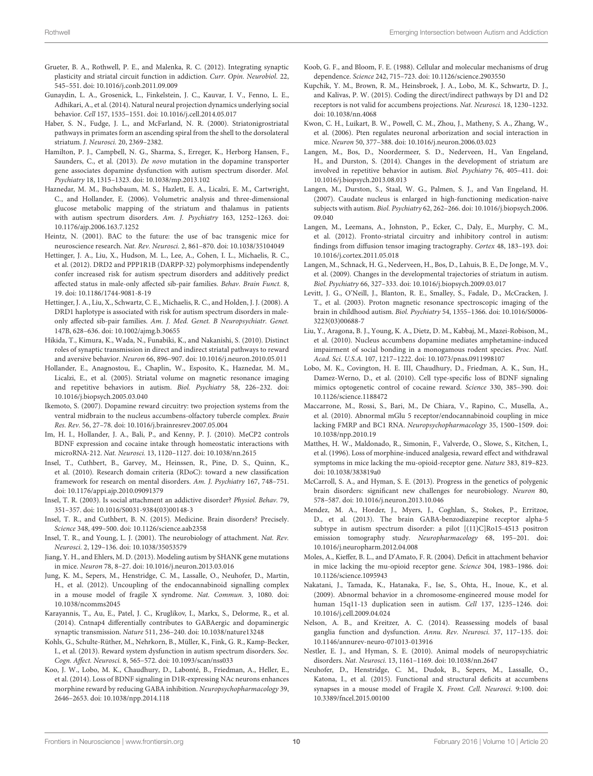- <span id="page-9-7"></span>Grueter, B. A., Rothwell, P. E., and Malenka, R. C. (2012). Integrating synaptic plasticity and striatal circuit function in addiction. Curr. Opin. Neurobiol. 22, 545–551. doi: 10.1016/j.conb.2011.09.009
- <span id="page-9-17"></span>Gunaydin, L. A., Grosenick, L., Finkelstein, J. C., Kauvar, I. V., Fenno, L. E., Adhikari, A., et al. (2014). Natural neural projection dynamics underlying social behavior. Cell 157, 1535–1551. doi: 10.1016/j.cell.2014.05.017
- <span id="page-9-31"></span>Haber, S. N., Fudge, J. L., and McFarland, N. R. (2000). Striatonigrostriatal pathways in primates form an ascending spiral from the shell to the dorsolateral striatum. J. Neurosci. 20, 2369–2382.
- <span id="page-9-20"></span>Hamilton, P. J., Campbell, N. G., Sharma, S., Erreger, K., Herborg Hansen, F., Saunders, C., et al. (2013). De novo mutation in the dopamine transporter gene associates dopamine dysfunction with autism spectrum disorder. Mol. Psychiatry 18, 1315–1323. doi: 10.1038/mp.2013.102
- <span id="page-9-11"></span>Haznedar, M. M., Buchsbaum, M. S., Hazlett, E. A., Licalzi, E. M., Cartwright, C., and Hollander, E. (2006). Volumetric analysis and three-dimensional glucose metabolic mapping of the striatum and thalamus in patients with autism spectrum disorders. Am. J. Psychiatry 163, 1252-1263. doi: 10.1176/ajp.2006.163.7.1252
- <span id="page-9-23"></span>Heintz, N. (2001). BAC to the future: the use of bac transgenic mice for neuroscience research. Nat. Rev. Neurosci. 2, 861–870. doi: 10.1038/35104049
- <span id="page-9-19"></span>Hettinger, J. A., Liu, X., Hudson, M. L., Lee, A., Cohen, I. L., Michaelis, R. C., et al. (2012). DRD2 and PPP1R1B (DARPP-32) polymorphisms independently confer increased risk for autism spectrum disorders and additively predict affected status in male-only affected sib-pair families. Behav. Brain Funct. 8, 19. doi: 10.1186/1744-9081-8-19
- <span id="page-9-18"></span>Hettinger, J. A., Liu, X., Schwartz, C. E., Michaelis, R. C., and Holden, J. J. (2008). A DRD1 haplotype is associated with risk for autism spectrum disorders in maleonly affected sib-pair families. Am. J. Med. Genet. B Neuropsychiatr. Genet. 147B, 628–636. doi: 10.1002/ajmg.b.30655
- <span id="page-9-39"></span>Hikida, T., Kimura, K., Wada, N., Funabiki, K., and Nakanishi, S. (2010). Distinct roles of synaptic transmission in direct and indirect striatal pathways to reward and aversive behavior. Neuron 66, 896–907. doi: 10.1016/j.neuron.2010.05.011
- <span id="page-9-3"></span>Hollander, E., Anagnostou, E., Chaplin, W., Esposito, K., Haznedar, M. M., Licalzi, E., et al. (2005). Striatal volume on magnetic resonance imaging and repetitive behaviors in autism. Biol. Psychiatry 58, 226–232. doi: 10.1016/j.biopsych.2005.03.040
- <span id="page-9-32"></span>Ikemoto, S. (2007). Dopamine reward circuitry: two projection systems from the ventral midbrain to the nucleus accumbens-olfactory tubercle complex. Brain Res. Rev. 56, 27–78. doi: 10.1016/j.brainresrev.2007.05.004
- <span id="page-9-35"></span>Im, H. I., Hollander, J. A., Bali, P., and Kenny, P. J. (2010). MeCP2 controls BDNF expression and cocaine intake through homeostatic interactions with microRNA-212. Nat. Neurosci. 13, 1120–1127. doi: 10.1038/nn.2615
- <span id="page-9-36"></span>Insel, T., Cuthbert, B., Garvey, M., Heinssen, R., Pine, D. S., Quinn, K., et al. (2010). Research domain criteria (RDoC): toward a new classification framework for research on mental disorders. Am. J. Psychiatry 167, 748–751. doi: 10.1176/appi.ajp.2010.09091379
- <span id="page-9-14"></span>Insel, T. R. (2003). Is social attachment an addictive disorder? Physiol. Behav. 79, 351–357. doi: 10.1016/S0031-9384(03)00148-3
- <span id="page-9-37"></span>Insel, T. R., and Cuthbert, B. N. (2015). Medicine. Brain disorders? Precisely. Science 348, 499–500. doi: 10.1126/science.aab2358
- <span id="page-9-15"></span>Insel, T. R., and Young, L. J. (2001). The neurobiology of attachment. Nat. Rev. Neurosci. 2, 129–136. doi: 10.1038/35053579
- <span id="page-9-2"></span>Jiang, Y. H., and Ehlers, M. D. (2013). Modeling autism by SHANK gene mutations in mice. Neuron 78, 8–27. doi: 10.1016/j.neuron.2013.03.016
- <span id="page-9-30"></span>Jung, K. M., Sepers, M., Henstridge, C. M., Lassalle, O., Neuhofer, D., Martin, H., et al. (2012). Uncoupling of the endocannabinoid signalling complex in a mouse model of fragile X syndrome. Nat. Commun. 3, 1080. doi: 10.1038/ncomms2045
- <span id="page-9-21"></span>Karayannis, T., Au, E., Patel, J. C., Kruglikov, I., Markx, S., Delorme, R., et al. (2014). Cntnap4 differentially contributes to GABAergic and dopaminergic synaptic transmission. Nature 511, 236–240. doi: 10.1038/nature13248
- <span id="page-9-9"></span>Kohls, G., Schulte-Rüther, M., Nehrkorn, B., Müller, K., Fink, G. R., Kamp-Becker, I., et al. (2013). Reward system dysfunction in autism spectrum disorders. Soc. Cogn. Affect. Neurosci. 8, 565–572. doi: 10.1093/scan/nss033
- <span id="page-9-38"></span>Koo, J. W., Lobo, M. K., Chaudhury, D., Labonté, B., Friedman, A., Heller, E., et al. (2014). Loss of BDNF signaling in D1R-expressing NAc neurons enhances morphine reward by reducing GABA inhibition. Neuropsychopharmacology 39, 2646–2653. doi: 10.1038/npp.2014.118
- <span id="page-9-6"></span>Koob, G. F., and Bloom, F. E. (1988). Cellular and molecular mechanisms of drug dependence. Science 242, 715–723. doi: 10.1126/science.2903550
- <span id="page-9-22"></span>Kupchik, Y. M., Brown, R. M., Heinsbroek, J. A., Lobo, M. K., Schwartz, D. J., and Kalivas, P. W. (2015). Coding the direct/indirect pathways by D1 and D2 receptors is not valid for accumbens projections. Nat. Neurosci. 18, 1230–1232. doi: 10.1038/nn.4068
- <span id="page-9-26"></span>Kwon, C. H., Luikart, B. W., Powell, C. M., Zhou, J., Matheny, S. A., Zhang, W., et al. (2006). Pten regulates neuronal arborization and social interaction in mice. Neuron 50, 377–388. doi: 10.1016/j.neuron.2006.03.023
- <span id="page-9-5"></span>Langen, M., Bos, D., Noordermeer, S. D., Nederveen, H., Van Engeland, H., and Durston, S. (2014). Changes in the development of striatum are involved in repetitive behavior in autism. Biol. Psychiatry 76, 405–411. doi: 10.1016/j.biopsych.2013.08.013
- <span id="page-9-12"></span>Langen, M., Durston, S., Staal, W. G., Palmen, S. J., and Van Engeland, H. (2007). Caudate nucleus is enlarged in high-functioning medication-naive subjects with autism. Biol. Psychiatry 62, 262–266. doi: 10.1016/j.biopsych.2006. 09.040
- <span id="page-9-13"></span>Langen, M., Leemans, A., Johnston, P., Ecker, C., Daly, E., Murphy, C. M., et al. (2012). Fronto-striatal circuitry and inhibitory control in autism: findings from diffusion tensor imaging tractography. Cortex 48, 183–193. doi: 10.1016/j.cortex.2011.05.018
- <span id="page-9-4"></span>Langen, M., Schnack, H. G., Nederveen, H., Bos, D., Lahuis, B. E., De Jonge, M. V., et al. (2009). Changes in the developmental trajectories of striatum in autism. Biol. Psychiatry 66, 327–333. doi: 10.1016/j.biopsych.2009.03.017
- <span id="page-9-10"></span>Levitt, J. G., O'Neill, J., Blanton, R. E., Smalley, S., Fadale, D., McCracken, J. T., et al. (2003). Proton magnetic resonance spectroscopic imaging of the brain in childhood autism. Biol. Psychiatry 54, 1355–1366. doi: 10.1016/S0006- 3223(03)00688-7
- <span id="page-9-16"></span>Liu, Y., Aragona, B. J., Young, K. A., Dietz, D. M., Kabbaj, M., Mazei-Robison, M., et al. (2010). Nucleus accumbens dopamine mediates amphetamine-induced impairment of social bonding in a monogamous rodent species. Proc. Natl. Acad. Sci. U.S.A. 107, 1217–1222. doi: 10.1073/pnas.0911998107
- <span id="page-9-24"></span>Lobo, M. K., Covington, H. E. III, Chaudhury, D., Friedman, A. K., Sun, H., Damez-Werno, D., et al. (2010). Cell type-specific loss of BDNF signaling mimics optogenetic control of cocaine reward. Science 330, 385–390. doi: 10.1126/science.1188472
- <span id="page-9-34"></span>Maccarrone, M., Rossi, S., Bari, M., De Chiara, V., Rapino, C., Musella, A., et al. (2010). Abnormal mGlu 5 receptor/endocannabinoid coupling in mice lacking FMRP and BC1 RNA. Neuropsychopharmacology 35, 1500–1509. doi: 10.1038/npp.2010.19
- <span id="page-9-28"></span>Matthes, H. W., Maldonado, R., Simonin, F., Valverde, O., Slowe, S., Kitchen, I., et al. (1996). Loss of morphine-induced analgesia, reward effect and withdrawal symptoms in mice lacking the mu-opioid-receptor gene. Nature 383, 819–823. doi: 10.1038/383819a0
- <span id="page-9-0"></span>McCarroll, S. A., and Hyman, S. E. (2013). Progress in the genetics of polygenic brain disorders: significant new challenges for neurobiology. Neuron 80, 578–587. doi: 10.1016/j.neuron.2013.10.046
- <span id="page-9-25"></span>Mendez, M. A., Horder, J., Myers, J., Coghlan, S., Stokes, P., Erritzoe, D., et al. (2013). The brain GABA-benzodiazepine receptor alpha-5 subtype in autism spectrum disorder: a pilot [(11)C]Ro15-4513 positron emission tomography study. Neuropharmacology 68, 195–201. doi: 10.1016/j.neuropharm.2012.04.008
- <span id="page-9-29"></span>Moles, A., Kieffer, B. L., and D'Amato, F. R. (2004). Deficit in attachment behavior in mice lacking the mu-opioid receptor gene. Science 304, 1983–1986. doi: 10.1126/science.1095943
- <span id="page-9-27"></span>Nakatani, J., Tamada, K., Hatanaka, F., Ise, S., Ohta, H., Inoue, K., et al. (2009). Abnormal behavior in a chromosome-engineered mouse model for human 15q11-13 duplication seen in autism. Cell 137, 1235–1246. doi: 10.1016/j.cell.2009.04.024
- <span id="page-9-8"></span>Nelson, A. B., and Kreitzer, A. C. (2014). Reassessing models of basal ganglia function and dysfunction. Annu. Rev. Neurosci. 37, 117–135. doi: 10.1146/annurev-neuro-071013-013916
- <span id="page-9-1"></span>Nestler, E. J., and Hyman, S. E. (2010). Animal models of neuropsychiatric disorders. Nat. Neurosci. 13, 1161–1169. doi: 10.1038/nn.2647
- <span id="page-9-33"></span>Neuhofer, D., Henstridge, C. M., Dudok, B., Sepers, M., Lassalle, O., Katona, I., et al. (2015). Functional and structural deficits at accumbens synapses in a mouse model of Fragile X. Front. Cell. Neurosci. 9:100. doi: 10.3389/fncel.2015.00100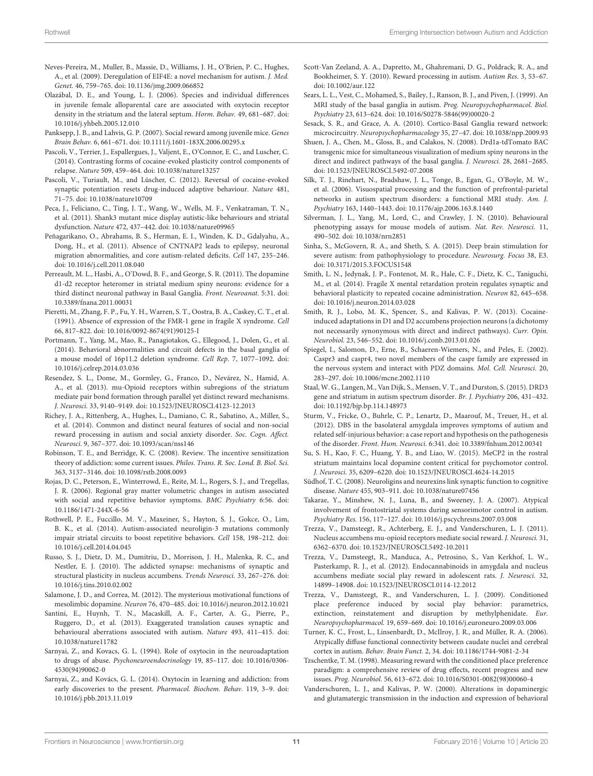- <span id="page-10-30"></span>Neves-Pereira, M., Muller, B., Massie, D., Williams, J. H., O'Brien, P. C., Hughes, A., et al. (2009). Deregulation of EIF4E: a novel mechanism for autism. J. Med. Genet. 46, 759–765. doi: 10.1136/jmg.2009.066852
- <span id="page-10-16"></span>Olazábal, D. E., and Young, L. J. (2006). Species and individual differences in juvenile female alloparental care are associated with oxytocin receptor density in the striatum and the lateral septum. Horm. Behav. 49, 681–687. doi: 10.1016/j.yhbeh.2005.12.010
- <span id="page-10-14"></span>Panksepp, J. B., and Lahvis, G. P. (2007). Social reward among juvenile mice. Genes Brain Behav. 6, 661–671. doi: 10.1111/j.1601-183X.2006.00295.x
- <span id="page-10-22"></span>Pascoli, V., Terrier, J., Espallergues, J., Valjent, E., O'Connor, E. C., and Luscher, C. (2014). Contrasting forms of cocaine-evoked plasticity control components of relapse. Nature 509, 459–464. doi: 10.1038/nature13257
- <span id="page-10-37"></span>Pascoli, V., Turiault, M., and Lüscher, C. (2012). Reversal of cocaine-evoked synaptic potentiation resets drug-induced adaptive behaviour. Nature 481, 71–75. doi: 10.1038/nature10709
- <span id="page-10-31"></span>Peca, J., Feliciano, C., Ting, J. T., Wang, W., Wells, M. F., Venkatraman, T. N., et al. (2011). Shank3 mutant mice display autistic-like behaviours and striatal dysfunction. Nature 472, 437–442. doi: 10.1038/nature09965
- <span id="page-10-1"></span>Peñagarikano, O., Abrahams, B. S., Herman, E. I., Winden, K. D., Gdalyahu, A., Dong, H., et al. (2011). Absence of CNTNAP2 leads to epilepsy, neuronal migration abnormalities, and core autism-related deficits. Cell 147, 235–246. doi: 10.1016/j.cell.2011.08.040
- <span id="page-10-38"></span>Perreault, M. L., Hasbi, A., O'Dowd, B. F., and George, S. R. (2011). The dopamine d1-d2 receptor heteromer in striatal medium spiny neurons: evidence for a third distinct neuronal pathway in Basal Ganglia. Front. Neuroanat. 5:31. doi: 10.3389/fnana.2011.00031
- <span id="page-10-32"></span>Pieretti, M., Zhang, F. P., Fu, Y. H., Warren, S. T., Oostra, B. A., Caskey, C. T., et al. (1991). Absence of expression of the FMR-1 gene in fragile X syndrome. Cell 66, 817–822. doi: 10.1016/0092-8674(91)90125-I
- <span id="page-10-25"></span>Portmann, T., Yang, M., Mao, R., Panagiotakos, G., Ellegood, J., Dolen, G., et al. (2014). Behavioral abnormalities and circuit defects in the basal ganglia of a mouse model of 16p11.2 deletion syndrome. Cell Rep. 7, 1077–1092. doi: 10.1016/j.celrep.2014.03.036
- <span id="page-10-27"></span>Resendez, S. L., Dome, M., Gormley, G., Franco, D., Nevárez, N., Hamid, A. A., et al. (2013). mu-Opioid receptors within subregions of the striatum mediate pair bond formation through parallel yet distinct reward mechanisms. J. Neurosci. 33, 9140–9149. doi: 10.1523/JNEUROSCI.4123-12.2013
- <span id="page-10-9"></span>Richey, J. A., Rittenberg, A., Hughes, L., Damiano, C. R., Sabatino, A., Miller, S., et al. (2014). Common and distinct neural features of social and non-social reward processing in autism and social anxiety disorder. Soc. Cogn. Affect. Neurosci. 9, 367–377. doi: 10.1093/scan/nss146
- <span id="page-10-36"></span>Robinson, T. E., and Berridge, K. C. (2008). Review. The incentive sensitization theory of addiction: some current issues. Philos. Trans. R. Soc. Lond. B. Biol. Sci. 363, 3137–3146. doi: 10.1098/rstb.2008.0093
- <span id="page-10-4"></span>Rojas, D. C., Peterson, E., Winterrowd, E., Reite, M. L., Rogers, S. J., and Tregellas, J. R. (2006). Regional gray matter volumetric changes in autism associated with social and repetitive behavior symptoms. BMC Psychiatry 6:56. doi: 10.1186/1471-244X-6-56
- <span id="page-10-24"></span>Rothwell, P. E., Fuccillo, M. V., Maxeiner, S., Hayton, S. J., Gokce, O., Lim, B. K., et al. (2014). Autism-associated neuroligin-3 mutations commonly impair striatal circuits to boost repetitive behaviors. Cell 158, 198–212. doi: 10.1016/j.cell.2014.04.045
- <span id="page-10-6"></span>Russo, S. J., Dietz, D. M., Dumitriu, D., Morrison, J. H., Malenka, R. C., and Nestler, E. J. (2010). The addicted synapse: mechanisms of synaptic and structural plasticity in nucleus accumbens. Trends Neurosci. 33, 267–276. doi: 10.1016/j.tins.2010.02.002
- <span id="page-10-18"></span>Salamone, J. D., and Correa, M. (2012). The mysterious motivational functions of mesolimbic dopamine. Neuron 76, 470–485. doi: 10.1016/j.neuron.2012.10.021
- <span id="page-10-29"></span>Santini, E., Huynh, T. N., Macaskill, A. F., Carter, A. G., Pierre, P., Ruggero, D., et al. (2013). Exaggerated translation causes synaptic and behavioural aberrations associated with autism. Nature 493, 411–415. doi: 10.1038/nature11782
- <span id="page-10-5"></span>Sarnyai, Z., and Kovacs, G. L. (1994). Role of oxytocin in the neuroadaptation to drugs of abuse. Psychoneuroendocrinology 19, 85–117. doi: 10.1016/0306- 4530(94)90062-0
- <span id="page-10-17"></span>Sarnyai, Z., and Kovács, G. L. (2014). Oxytocin in learning and addiction: from early discoveries to the present. Pharmacol. Biochem. Behav. 119, 3–9. doi: 10.1016/j.pbb.2013.11.019
- <span id="page-10-8"></span>Scott-Van Zeeland, A. A., Dapretto, M., Ghahremani, D. G., Poldrack, R. A., and Bookheimer, S. Y. (2010). Reward processing in autism. Autism Res. 3, 53–67. doi: 10.1002/aur.122
- <span id="page-10-3"></span>Sears, L. L., Vest, C., Mohamed, S., Bailey, J., Ranson, B. J., and Piven, J. (1999). An MRI study of the basal ganglia in autism. Prog. Neuropsychopharmacol. Biol. Psychiatry 23, 613–624. doi: 10.1016/S0278-5846(99)00020-2
- <span id="page-10-7"></span>Sesack, S. R., and Grace, A. A. (2010). Cortico-Basal Ganglia reward network: microcircuitry. Neuropsychopharmacology 35, 27–47. doi: 10.1038/npp.2009.93
- <span id="page-10-21"></span>Shuen, J. A., Chen, M., Gloss, B., and Calakos, N. (2008). Drd1a-tdTomato BAC transgenic mice for simultaneous visualization of medium spiny neurons in the direct and indirect pathways of the basal ganglia. J. Neurosci. 28, 2681–2685. doi: 10.1523/JNEUROSCI.5492-07.2008
- <span id="page-10-10"></span>Silk, T. J., Rinehart, N., Bradshaw, J. L., Tonge, B., Egan, G., O'Boyle, M. W., et al. (2006). Visuospatial processing and the function of prefrontal-parietal networks in autism spectrum disorders: a functional MRI study. Am. J. Psychiatry 163, 1440–1443. doi: 10.1176/ajp.2006.163.8.1440
- <span id="page-10-0"></span>Silverman, J. L., Yang, M., Lord, C., and Crawley, J. N. (2010). Behavioural phenotyping assays for mouse models of autism. Nat. Rev. Neurosci. 11, 490–502. doi: 10.1038/nrn2851
- <span id="page-10-40"></span>Sinha, S., McGovern, R. A., and Sheth, S. A. (2015). Deep brain stimulation for severe autism: from pathophysiology to procedure. Neurosurg. Focus 38, E3. doi: 10.3171/2015.3.FOCUS1548
- <span id="page-10-34"></span>Smith, L. N., Jedynak, J. P., Fontenot, M. R., Hale, C. F., Dietz, K. C., Taniguchi, M., et al. (2014). Fragile X mental retardation protein regulates synaptic and behavioral plasticity to repeated cocaine administration. Neuron 82, 645–658. doi: 10.1016/j.neuron.2014.03.028
- <span id="page-10-23"></span>Smith, R. J., Lobo, M. K., Spencer, S., and Kalivas, P. W. (2013). Cocaineinduced adaptations in D1 and D2 accumbens projection neurons (a dichotomy not necessarily synonymous with direct and indirect pathways). Curr. Opin. Neurobiol. 23, 546–552. doi: 10.1016/j.conb.2013.01.026
- <span id="page-10-20"></span>Spiegel, I., Salomon, D., Erne, B., Schaeren-Wiemers, N., and Peles, E. (2002). Caspr3 and caspr4, two novel members of the caspr family are expressed in the nervous system and interact with PDZ domains. Mol. Cell. Neurosci. 20, 283–297. doi: 10.1006/mcne.2002.1110
- <span id="page-10-19"></span>Staal, W. G., Langen, M., Van Dijk, S., Mensen, V. T., and Durston, S. (2015). DRD3 gene and striatum in autism spectrum disorder. Br. J. Psychiatry 206, 431–432. doi: 10.1192/bjp.bp.114.148973
- <span id="page-10-39"></span>Sturm, V., Fricke, O., Buhrle, C. P., Lenartz, D., Maarouf, M., Treuer, H., et al. (2012). DBS in the basolateral amygdala improves symptoms of autism and related self-injurious behavior: a case report and hypothesis on the pathogenesis of the disorder. Front. Hum. Neurosci. 6:341. doi: 10.3389/fnhum.2012.00341
- <span id="page-10-33"></span>Su, S. H., Kao, F. C., Huang, Y. B., and Liao, W. (2015). MeCP2 in the rostral striatum maintains local dopamine content critical for psychomotor control. J. Neurosci. 35, 6209–6220. doi: 10.1523/JNEUROSCI.4624-14.2015
- <span id="page-10-2"></span>Südhof, T. C. (2008). Neuroligins and neurexins link synaptic function to cognitive disease. Nature 455, 903–911. doi: 10.1038/nature07456
- <span id="page-10-12"></span>Takarae, Y., Minshew, N. J., Luna, B., and Sweeney, J. A. (2007). Atypical involvement of frontostriatal systems during sensorimotor control in autism. Psychiatry Res. 156, 117–127. doi: 10.1016/j.pscychresns.2007.03.008
- <span id="page-10-26"></span>Trezza, V., Damsteegt, R., Achterberg, E. J., and Vanderschuren, L. J. (2011). Nucleus accumbens mu-opioid receptors mediate social reward. J. Neurosci. 31, 6362–6370. doi: 10.1523/JNEUROSCI.5492-10.2011
- <span id="page-10-28"></span>Trezza, V., Damsteegt, R., Manduca, A., Petrosino, S., Van Kerkhof, L. W., Pasterkamp, R. J., et al. (2012). Endocannabinoids in amygdala and nucleus accumbens mediate social play reward in adolescent rats. J. Neurosci. 32, 14899–14908. doi: 10.1523/JNEUROSCI.0114-12.2012
- <span id="page-10-15"></span>Trezza, V., Damsteegt, R., and Vanderschuren, L. J. (2009). Conditioned place preference induced by social play behavior: parametrics, extinction, reinstatement and disruption by methylphenidate. Eur. Neuropsychopharmacol. 19, 659–669. doi: 10.1016/j.euroneuro.2009.03.006
- <span id="page-10-11"></span>Turner, K. C., Frost, L., Linsenbardt, D., McIlroy, J. R., and Müller, R. A. (2006). Atypically diffuse functional connectivity between caudate nuclei and cerebral cortex in autism. Behav. Brain Funct. 2, 34. doi: 10.1186/1744-9081-2-34
- <span id="page-10-13"></span>Tzschentke, T. M. (1998). Measuring reward with the conditioned place preference paradigm: a comprehensive review of drug effects, recent progress and new issues. Prog. Neurobiol. 56, 613–672. doi: 10.1016/S0301-0082(98)00060-4
- <span id="page-10-35"></span>Vanderschuren, L. J., and Kalivas, P. W. (2000). Alterations in dopaminergic and glutamatergic transmission in the induction and expression of behavioral